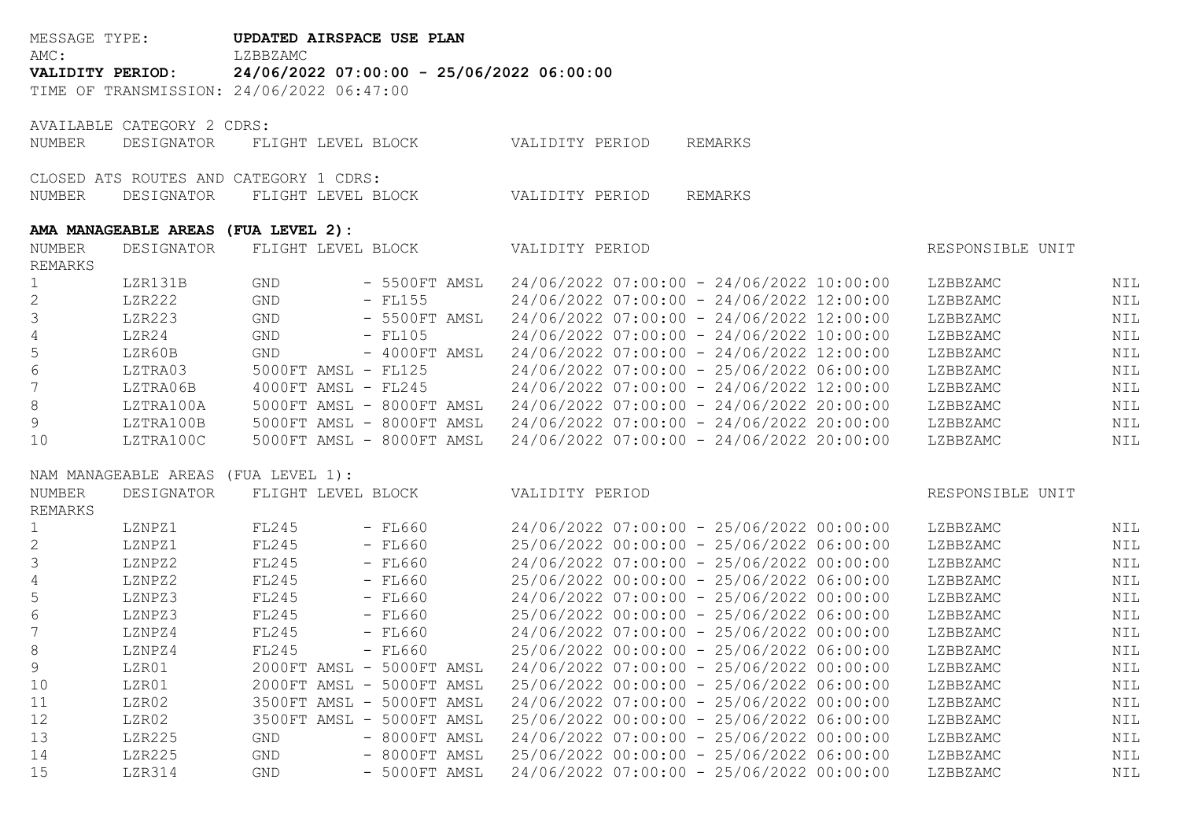| MESSAGE TYPE:<br>AMC: |                            | UPDATED AIRSPACE USE PLAN<br>LZBBZAMC     |                                           |                                                       |     |  |  |  |  |  |  |
|-----------------------|----------------------------|-------------------------------------------|-------------------------------------------|-------------------------------------------------------|-----|--|--|--|--|--|--|
| VALIDITY PERIOD:      |                            |                                           | 24/06/2022 07:00:00 - 25/06/2022 06:00:00 |                                                       |     |  |  |  |  |  |  |
|                       |                            | TIME OF TRANSMISSION: 24/06/2022 06:47:00 |                                           |                                                       |     |  |  |  |  |  |  |
|                       |                            |                                           |                                           |                                                       |     |  |  |  |  |  |  |
|                       | AVAILABLE CATEGORY 2 CDRS: |                                           |                                           |                                                       |     |  |  |  |  |  |  |
| NUMBER                | DESIGNATOR                 | FLIGHT LEVEL BLOCK                        |                                           | VALIDITY PERIOD<br>REMARKS                            |     |  |  |  |  |  |  |
|                       |                            |                                           |                                           |                                                       |     |  |  |  |  |  |  |
|                       |                            | CLOSED ATS ROUTES AND CATEGORY 1 CDRS:    |                                           |                                                       |     |  |  |  |  |  |  |
| NUMBER                | DESIGNATOR                 | FLIGHT LEVEL BLOCK                        |                                           | VALIDITY PERIOD<br>REMARKS                            |     |  |  |  |  |  |  |
|                       |                            |                                           |                                           |                                                       |     |  |  |  |  |  |  |
|                       |                            | AMA MANAGEABLE AREAS (FUA LEVEL 2):       |                                           |                                                       |     |  |  |  |  |  |  |
| NUMBER                | DESIGNATOR                 | FLIGHT LEVEL BLOCK                        |                                           | VALIDITY PERIOD<br>RESPONSIBLE UNIT                   |     |  |  |  |  |  |  |
| REMARKS               |                            |                                           |                                           |                                                       |     |  |  |  |  |  |  |
| 1                     | LZR131B                    | GND                                       | - 5500FT AMSL                             | 24/06/2022 07:00:00 - 24/06/2022 10:00:00<br>LZBBZAMC | NIL |  |  |  |  |  |  |
| $\mathbf{2}$          | LZR222                     | GND                                       | $-$ FL155                                 | 24/06/2022 07:00:00 - 24/06/2022 12:00:00<br>LZBBZAMC | NIL |  |  |  |  |  |  |
| $\mathfrak{Z}$        | LZR223                     | GND                                       | $-5500$ FT AMSL                           | 24/06/2022 07:00:00 - 24/06/2022 12:00:00<br>LZBBZAMC | NIL |  |  |  |  |  |  |
| 4                     | LZR24                      | GND                                       | $-$ FL105                                 | 24/06/2022 07:00:00 - 24/06/2022 10:00:00<br>LZBBZAMC | NIL |  |  |  |  |  |  |
| 5                     | LZR60B                     | GND                                       | $-$ 4000FT AMSL                           | 24/06/2022 07:00:00 - 24/06/2022 12:00:00<br>LZBBZAMC | NIL |  |  |  |  |  |  |
| $\,$ $\,$ $\,$        | LZTRA03                    | 5000FT AMSL - FL125                       |                                           | 24/06/2022 07:00:00 - 25/06/2022 06:00:00<br>LZBBZAMC | NIL |  |  |  |  |  |  |
| $\overline{7}$        | LZTRA06B                   | 4000FT AMSL - FL245                       |                                           | 24/06/2022 07:00:00 - 24/06/2022 12:00:00<br>LZBBZAMC | NIL |  |  |  |  |  |  |
| $\,8\,$               | LZTRA100A                  |                                           | 5000FT AMSL - 8000FT AMSL                 | 24/06/2022 07:00:00 - 24/06/2022 20:00:00<br>LZBBZAMC | NIL |  |  |  |  |  |  |
| $\mathcal{G}$         | LZTRA100B                  |                                           | 5000FT AMSL - 8000FT AMSL                 | 24/06/2022 07:00:00 - 24/06/2022 20:00:00<br>LZBBZAMC | NIL |  |  |  |  |  |  |
| 10                    | LZTRA100C                  |                                           | 5000FT AMSL - 8000FT AMSL                 | 24/06/2022 07:00:00 - 24/06/2022 20:00:00<br>LZBBZAMC | NIL |  |  |  |  |  |  |
|                       |                            | NAM MANAGEABLE AREAS (FUA LEVEL 1):       |                                           |                                                       |     |  |  |  |  |  |  |
| NUMBER<br>DESIGNATOR  |                            | FLIGHT LEVEL BLOCK                        |                                           | VALIDITY PERIOD<br>RESPONSIBLE UNIT                   |     |  |  |  |  |  |  |
| <b>REMARKS</b>        |                            |                                           |                                           |                                                       |     |  |  |  |  |  |  |
| 1                     | LZNPZ1                     | FL245                                     | $-$ FL660                                 | 24/06/2022 07:00:00 - 25/06/2022 00:00:00<br>LZBBZAMC | NIL |  |  |  |  |  |  |
| $\mathbf{2}$          | LZNPZ1                     | FL245                                     | $-$ FL660                                 | 25/06/2022 00:00:00 - 25/06/2022 06:00:00<br>LZBBZAMC | NIL |  |  |  |  |  |  |
| 3                     | LZNPZ2                     | FL245                                     | $-$ FL660                                 | 24/06/2022 07:00:00 - 25/06/2022 00:00:00<br>LZBBZAMC | NIL |  |  |  |  |  |  |
| $\overline{4}$        | LZNPZ2                     | FL245                                     | $-$ FL660                                 | 25/06/2022 00:00:00 - 25/06/2022 06:00:00<br>LZBBZAMC | NIL |  |  |  |  |  |  |
| 5                     | LZNPZ3                     | FL245                                     | $-$ FL660                                 | 24/06/2022 07:00:00 - 25/06/2022 00:00:00<br>LZBBZAMC | NIL |  |  |  |  |  |  |
| $\sqrt{6}$            | LZNPZ3                     | FL245                                     | $-$ FL660                                 | 25/06/2022 00:00:00 - 25/06/2022 06:00:00<br>LZBBZAMC | NIL |  |  |  |  |  |  |
| $\boldsymbol{7}$      | LZNPZ4                     | <b>FL245</b>                              | $-$ FL660                                 | 24/06/2022 07:00:00 - 25/06/2022 00:00:00<br>LZBBZAMC | NIL |  |  |  |  |  |  |
| 8                     | LZNPZ4                     | FL245                                     | $-$ FL660                                 | 25/06/2022 00:00:00 - 25/06/2022 06:00:00<br>LZBBZAMC | NIL |  |  |  |  |  |  |
| 9                     | LZR01                      |                                           | 2000FT AMSL - 5000FT AMSL                 | 24/06/2022 07:00:00 - 25/06/2022 00:00:00<br>LZBBZAMC | NIL |  |  |  |  |  |  |
| 10                    | LZR01                      |                                           | 2000FT AMSL - 5000FT AMSL                 | 25/06/2022 00:00:00 - 25/06/2022 06:00:00<br>LZBBZAMC | NIL |  |  |  |  |  |  |
| 11                    | LZR02                      |                                           | 3500FT AMSL - 5000FT AMSL                 | 24/06/2022 07:00:00 - 25/06/2022 00:00:00<br>LZBBZAMC | NIL |  |  |  |  |  |  |
| 12                    | LZR02                      |                                           | 3500FT AMSL - 5000FT AMSL                 | 25/06/2022 00:00:00 - 25/06/2022 06:00:00<br>LZBBZAMC | NIL |  |  |  |  |  |  |
| 13                    | LZR225                     | GND                                       | - 8000FT AMSL                             | 24/06/2022 07:00:00 - 25/06/2022 00:00:00<br>LZBBZAMC | NIL |  |  |  |  |  |  |
| 14                    | LZR225                     | $\mathop{\mathsf{GND}}$                   | - 8000FT AMSL                             | 25/06/2022 00:00:00 - 25/06/2022 06:00:00<br>LZBBZAMC | NIL |  |  |  |  |  |  |
| 15                    | LZR314                     | GND                                       | - 5000FT AMSL                             | 24/06/2022 07:00:00 - 25/06/2022 00:00:00<br>LZBBZAMC | NIL |  |  |  |  |  |  |